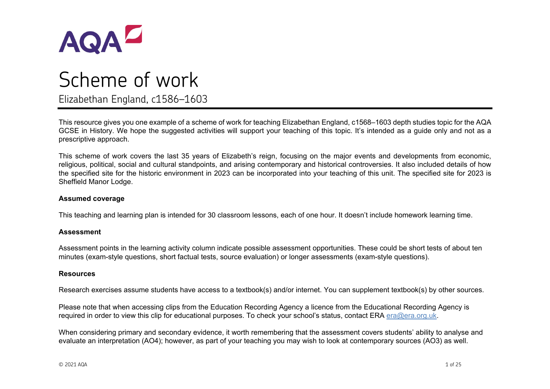

# Scheme of work Elizabethan England, c1586–1603

This resource gives you one example of a scheme of work for teaching Elizabethan England, c1568–1603 depth studies topic for the AQA GCSE in History. We hope the suggested activities will support your teaching of this topic. It's intended as a guide only and not as a prescriptive approach.

This scheme of work covers the last 35 years of Elizabeth's reign, focusing on the major events and developments from economic, religious, political, social and cultural standpoints, and arising contemporary and historical controversies. It also included details of how the specified site for the historic environment in 2023 can be incorporated into your teaching of this unit. The specified site for 2023 is Sheffield Manor Lodge.

#### **Assumed coverage**

This teaching and learning plan is intended for 30 classroom lessons, each of one hour. It doesn't include homework learning time.

#### **Assessment**

Assessment points in the learning activity column indicate possible assessment opportunities. These could be short tests of about ten minutes (exam-style questions, short factual tests, source evaluation) or longer assessments (exam-style questions).

#### **Resources**

Research exercises assume students have access to a textbook(s) and/or internet. You can supplement textbook(s) by other sources.

Please note that when accessing clips from the Education Recording Agency a licence from the Educational Recording Agency is required in order to view this clip for educational purposes. To check your school's status, contact ERA [era@era.org.uk.](mailto:era@era.org.uk)

When considering primary and secondary evidence, it worth remembering that the assessment covers students' ability to analyse and evaluate an interpretation (AO4); however, as part of your teaching you may wish to look at contemporary sources (AO3) as well.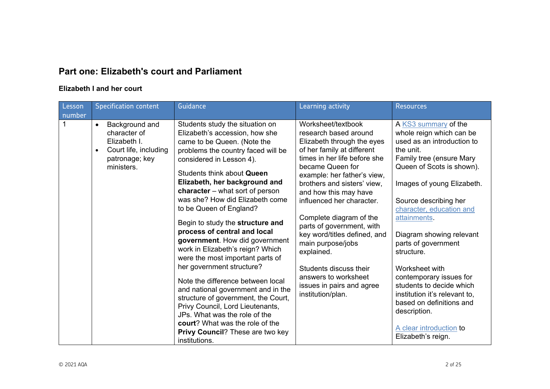## **Part one: Elizabeth's court and Parliament**

#### **Elizabeth I and her court**

| Lesson<br>number | <b>Specification content</b>                                                                                                      | Guidance                                                                                                                                                                                                                                                                                                                                                                                                                                                                                                                                                                                                                                                                                                                                                                                                                              | Learning activity                                                                                                                                                                                                                                                                                                                                                                                                                                                                                              | <b>Resources</b>                                                                                                                                                                                                                                                                                                                                                                                                                                                                                                                |
|------------------|-----------------------------------------------------------------------------------------------------------------------------------|---------------------------------------------------------------------------------------------------------------------------------------------------------------------------------------------------------------------------------------------------------------------------------------------------------------------------------------------------------------------------------------------------------------------------------------------------------------------------------------------------------------------------------------------------------------------------------------------------------------------------------------------------------------------------------------------------------------------------------------------------------------------------------------------------------------------------------------|----------------------------------------------------------------------------------------------------------------------------------------------------------------------------------------------------------------------------------------------------------------------------------------------------------------------------------------------------------------------------------------------------------------------------------------------------------------------------------------------------------------|---------------------------------------------------------------------------------------------------------------------------------------------------------------------------------------------------------------------------------------------------------------------------------------------------------------------------------------------------------------------------------------------------------------------------------------------------------------------------------------------------------------------------------|
|                  | Background and<br>$\bullet$<br>character of<br>Elizabeth I.<br>Court life, including<br>$\bullet$<br>patronage; key<br>ministers. | Students study the situation on<br>Elizabeth's accession, how she<br>came to be Queen. (Note the<br>problems the country faced will be<br>considered in Lesson 4).<br>Students think about Queen<br>Elizabeth, her background and<br>character $-$ what sort of person<br>was she? How did Elizabeth come<br>to be Queen of England?<br>Begin to study the structure and<br>process of central and local<br>government. How did government<br>work in Elizabeth's reign? Which<br>were the most important parts of<br>her government structure?<br>Note the difference between local<br>and national government and in the<br>structure of government, the Court,<br>Privy Council, Lord Lieutenants,<br>JPs. What was the role of the<br><b>court?</b> What was the role of the<br>Privy Council? These are two key<br>institutions. | Worksheet/textbook<br>research based around<br>Elizabeth through the eyes<br>of her family at different<br>times in her life before she<br>became Queen for<br>example: her father's view,<br>brothers and sisters' view,<br>and how this may have<br>influenced her character.<br>Complete diagram of the<br>parts of government, with<br>key word/titles defined, and<br>main purpose/jobs<br>explained.<br>Students discuss their<br>answers to worksheet<br>issues in pairs and agree<br>institution/plan. | A KS3 summary of the<br>whole reign which can be<br>used as an introduction to<br>the unit.<br>Family tree (ensure Mary<br>Queen of Scots is shown).<br>Images of young Elizabeth.<br>Source describing her<br>character, education and<br>attainments.<br>Diagram showing relevant<br>parts of government<br>structure.<br>Worksheet with<br>contemporary issues for<br>students to decide which<br>institution it's relevant to,<br>based on definitions and<br>description.<br>A clear introduction to<br>Elizabeth's reign. |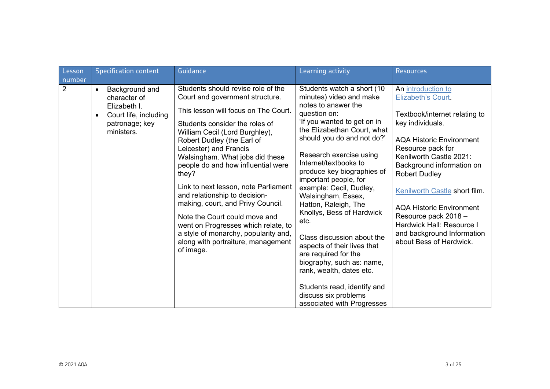| Lesson      | <b>Specification content</b>                                                                                                      | Guidance                                                                                                                                                                                                                                                                                                                                                                                                                                                                                                                                                                                                     | Learning activity                                                                                                                                                                                                                                                                                                                                                                                                                                                                                                                                                                                                                                    | <b>Resources</b>                                                                                                                                                                                                                                                                                                                                                                                                        |
|-------------|-----------------------------------------------------------------------------------------------------------------------------------|--------------------------------------------------------------------------------------------------------------------------------------------------------------------------------------------------------------------------------------------------------------------------------------------------------------------------------------------------------------------------------------------------------------------------------------------------------------------------------------------------------------------------------------------------------------------------------------------------------------|------------------------------------------------------------------------------------------------------------------------------------------------------------------------------------------------------------------------------------------------------------------------------------------------------------------------------------------------------------------------------------------------------------------------------------------------------------------------------------------------------------------------------------------------------------------------------------------------------------------------------------------------------|-------------------------------------------------------------------------------------------------------------------------------------------------------------------------------------------------------------------------------------------------------------------------------------------------------------------------------------------------------------------------------------------------------------------------|
| number<br>2 | Background and<br>$\bullet$<br>character of<br>Elizabeth I.<br>Court life, including<br>$\bullet$<br>patronage; key<br>ministers. | Students should revise role of the<br>Court and government structure.<br>This lesson will focus on The Court.<br>Students consider the roles of<br>William Cecil (Lord Burghley),<br>Robert Dudley (the Earl of<br>Leicester) and Francis<br>Walsingham. What jobs did these<br>people do and how influential were<br>they?<br>Link to next lesson, note Parliament<br>and relationship to decision-<br>making, court, and Privy Council.<br>Note the Court could move and<br>went on Progresses which relate, to<br>a style of monarchy, popularity and,<br>along with portraiture, management<br>of image. | Students watch a short (10<br>minutes) video and make<br>notes to answer the<br>question on:<br>'If you wanted to get on in<br>the Elizabethan Court, what<br>should you do and not do?'<br>Research exercise using<br>Internet/textbooks to<br>produce key biographies of<br>important people, for<br>example: Cecil, Dudley,<br>Walsingham, Essex,<br>Hatton, Raleigh, The<br>Knollys, Bess of Hardwick<br>etc.<br>Class discussion about the<br>aspects of their lives that<br>are required for the<br>biography, such as: name,<br>rank, wealth, dates etc.<br>Students read, identify and<br>discuss six problems<br>associated with Progresses | An introduction to<br>Elizabeth's Court.<br>Textbook/internet relating to<br>key individuals.<br><b>AQA Historic Environment</b><br>Resource pack for<br>Kenilworth Castle 2021:<br>Background information on<br><b>Robert Dudley</b><br>Kenilworth Castle short film.<br><b>AQA Historic Environment</b><br>Resource pack 2018 -<br>Hardwick Hall: Resource I<br>and background Information<br>about Bess of Hardwick. |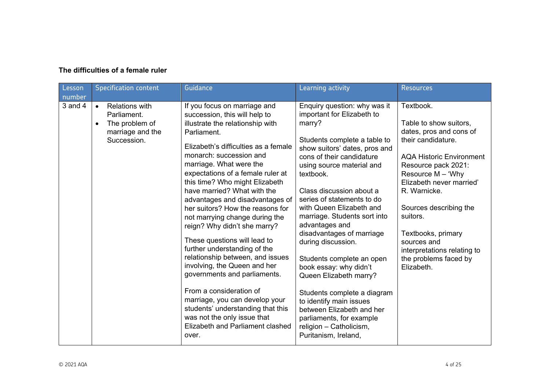| The difficulties of a female ruler |  |  |
|------------------------------------|--|--|
|                                    |  |  |

| Lesson<br>number | <b>Specification content</b>                                                                                        | Guidance                                                                                                                                                                                                                                                                                                                                                                                                                                                                                                                                                                                                                                                                                                                                                                                                        | Learning activity                                                                                                                                                                                                                                                                                                                                                                                                                                                                                                                                                                                                                                              | <b>Resources</b>                                                                                                                                                                                                                                                                                                                                                   |
|------------------|---------------------------------------------------------------------------------------------------------------------|-----------------------------------------------------------------------------------------------------------------------------------------------------------------------------------------------------------------------------------------------------------------------------------------------------------------------------------------------------------------------------------------------------------------------------------------------------------------------------------------------------------------------------------------------------------------------------------------------------------------------------------------------------------------------------------------------------------------------------------------------------------------------------------------------------------------|----------------------------------------------------------------------------------------------------------------------------------------------------------------------------------------------------------------------------------------------------------------------------------------------------------------------------------------------------------------------------------------------------------------------------------------------------------------------------------------------------------------------------------------------------------------------------------------------------------------------------------------------------------------|--------------------------------------------------------------------------------------------------------------------------------------------------------------------------------------------------------------------------------------------------------------------------------------------------------------------------------------------------------------------|
| $3$ and $4$      | <b>Relations with</b><br>$\bullet$<br>Parliament.<br>The problem of<br>$\bullet$<br>marriage and the<br>Succession. | If you focus on marriage and<br>succession, this will help to<br>illustrate the relationship with<br>Parliament.<br>Elizabeth's difficulties as a female<br>monarch: succession and<br>marriage. What were the<br>expectations of a female ruler at<br>this time? Who might Elizabeth<br>have married? What with the<br>advantages and disadvantages of<br>her suitors? How the reasons for<br>not marrying change during the<br>reign? Why didn't she marry?<br>These questions will lead to<br>further understanding of the<br>relationship between, and issues<br>involving, the Queen and her<br>governments and parliaments.<br>From a consideration of<br>marriage, you can develop your<br>students' understanding that this<br>was not the only issue that<br>Elizabeth and Parliament clashed<br>over. | Enquiry question: why was it<br>important for Elizabeth to<br>marry?<br>Students complete a table to<br>show suitors' dates, pros and<br>cons of their candidature<br>using source material and<br>textbook.<br>Class discussion about a<br>series of statements to do<br>with Queen Elizabeth and<br>marriage. Students sort into<br>advantages and<br>disadvantages of marriage<br>during discussion.<br>Students complete an open<br>book essay: why didn't<br>Queen Elizabeth marry?<br>Students complete a diagram<br>to identify main issues<br>between Elizabeth and her<br>parliaments, for example<br>religion - Catholicism,<br>Puritanism, Ireland, | Textbook.<br>Table to show suitors,<br>dates, pros and cons of<br>their candidature.<br><b>AQA Historic Environment</b><br>Resource pack 2021:<br>Resource $M - 'Why$<br>Elizabeth never married'<br>R. Warnicke.<br>Sources describing the<br>suitors.<br>Textbooks, primary<br>sources and<br>interpretations relating to<br>the problems faced by<br>Elizabeth. |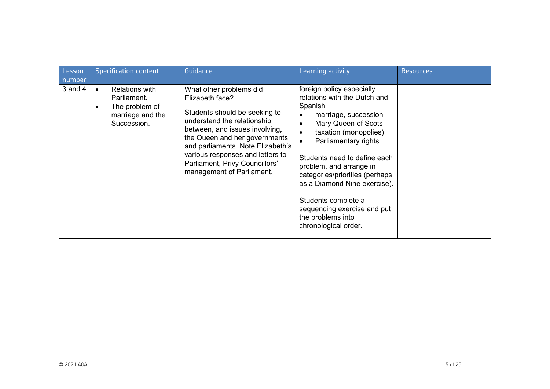| Lesson<br>number | <b>Specification content</b>                                                              | Guidance                                                                                                                                                                                                                                                                                                              | Learning activity                                                                                                                                                                                                                                                                                                                                                                                                                                         | <b>Resources</b> |
|------------------|-------------------------------------------------------------------------------------------|-----------------------------------------------------------------------------------------------------------------------------------------------------------------------------------------------------------------------------------------------------------------------------------------------------------------------|-----------------------------------------------------------------------------------------------------------------------------------------------------------------------------------------------------------------------------------------------------------------------------------------------------------------------------------------------------------------------------------------------------------------------------------------------------------|------------------|
| $3$ and $4$      | <b>Relations with</b><br>Parliament.<br>The problem of<br>marriage and the<br>Succession. | What other problems did<br>Elizabeth face?<br>Students should be seeking to<br>understand the relationship<br>between, and issues involving,<br>the Queen and her governments<br>and parliaments. Note Elizabeth's<br>various responses and letters to<br>Parliament, Privy Councillors'<br>management of Parliament. | foreign policy especially<br>relations with the Dutch and<br>Spanish<br>marriage, succession<br>$\bullet$<br>Mary Queen of Scots<br>$\bullet$<br>taxation (monopolies)<br>$\bullet$<br>Parliamentary rights.<br>$\bullet$<br>Students need to define each<br>problem, and arrange in<br>categories/priorities (perhaps<br>as a Diamond Nine exercise).<br>Students complete a<br>sequencing exercise and put<br>the problems into<br>chronological order. |                  |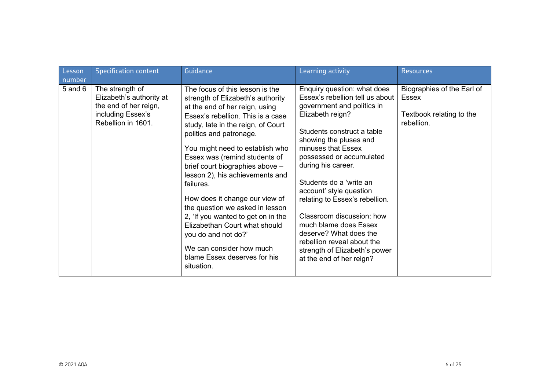| Lesson      | <b>Specification content</b>                                                                                    | Guidance                                                                                                                                                                                                                                                                                                                                                                                                                                                                                                                                                                                                         | Learning activity                                                                                                                                                                                                                                                                                                                                                                                                                                                                                                   | <b>Resources</b>                                                              |
|-------------|-----------------------------------------------------------------------------------------------------------------|------------------------------------------------------------------------------------------------------------------------------------------------------------------------------------------------------------------------------------------------------------------------------------------------------------------------------------------------------------------------------------------------------------------------------------------------------------------------------------------------------------------------------------------------------------------------------------------------------------------|---------------------------------------------------------------------------------------------------------------------------------------------------------------------------------------------------------------------------------------------------------------------------------------------------------------------------------------------------------------------------------------------------------------------------------------------------------------------------------------------------------------------|-------------------------------------------------------------------------------|
| number      |                                                                                                                 |                                                                                                                                                                                                                                                                                                                                                                                                                                                                                                                                                                                                                  |                                                                                                                                                                                                                                                                                                                                                                                                                                                                                                                     |                                                                               |
| $5$ and $6$ | The strength of<br>Elizabeth's authority at<br>the end of her reign,<br>including Essex's<br>Rebellion in 1601. | The focus of this lesson is the<br>strength of Elizabeth's authority<br>at the end of her reign, using<br>Essex's rebellion. This is a case<br>study, late in the reign, of Court<br>politics and patronage.<br>You might need to establish who<br>Essex was (remind students of<br>brief court biographies above -<br>lesson 2), his achievements and<br>failures.<br>How does it change our view of<br>the question we asked in lesson<br>2, 'If you wanted to get on in the<br>Elizabethan Court what should<br>you do and not do?'<br>We can consider how much<br>blame Essex deserves for his<br>situation. | Enquiry question: what does<br>Essex's rebellion tell us about<br>government and politics in<br>Elizabeth reign?<br>Students construct a table<br>showing the pluses and<br>minuses that Essex<br>possessed or accumulated<br>during his career.<br>Students do a 'write an<br>account' style question<br>relating to Essex's rebellion.<br>Classroom discussion: how<br>much blame does Essex<br>deserve? What does the<br>rebellion reveal about the<br>strength of Elizabeth's power<br>at the end of her reign? | Biographies of the Earl of<br>Essex<br>Textbook relating to the<br>rebellion. |
|             |                                                                                                                 |                                                                                                                                                                                                                                                                                                                                                                                                                                                                                                                                                                                                                  |                                                                                                                                                                                                                                                                                                                                                                                                                                                                                                                     |                                                                               |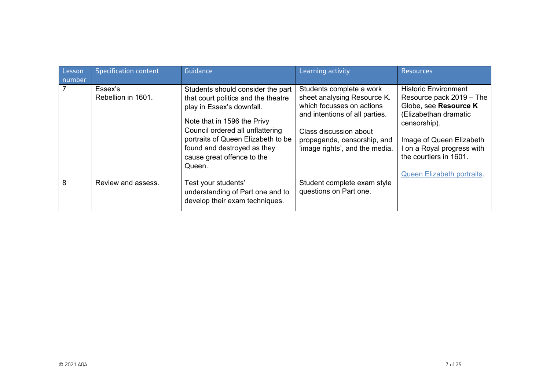| Lesson<br>number | <b>Specification content</b>  | Guidance                                                                                                                                                                                                                                                                              | Learning activity                                                                                                                                                                                                 | <b>Resources</b>                                                                                                                                                                                                                                   |
|------------------|-------------------------------|---------------------------------------------------------------------------------------------------------------------------------------------------------------------------------------------------------------------------------------------------------------------------------------|-------------------------------------------------------------------------------------------------------------------------------------------------------------------------------------------------------------------|----------------------------------------------------------------------------------------------------------------------------------------------------------------------------------------------------------------------------------------------------|
|                  | Essex's<br>Rebellion in 1601. | Students should consider the part<br>that court politics and the theatre<br>play in Essex's downfall.<br>Note that in 1596 the Privy<br>Council ordered all unflattering<br>portraits of Queen Elizabeth to be<br>found and destroyed as they<br>cause great offence to the<br>Queen. | Students complete a work<br>sheet analysing Resource K.<br>which focusses on actions<br>and intentions of all parties.<br>Class discussion about<br>propaganda, censorship, and<br>'image rights', and the media. | <b>Historic Environment</b><br>Resource pack 2019 - The<br>Globe, see Resource K<br>(Elizabethan dramatic<br>censorship).<br>Image of Queen Elizabeth<br>I on a Royal progress with<br>the courtiers in 1601.<br><b>Queen Elizabeth portraits.</b> |
| 8                | Review and assess.            | Test your students'<br>understanding of Part one and to<br>develop their exam techniques.                                                                                                                                                                                             | Student complete exam style<br>questions on Part one.                                                                                                                                                             |                                                                                                                                                                                                                                                    |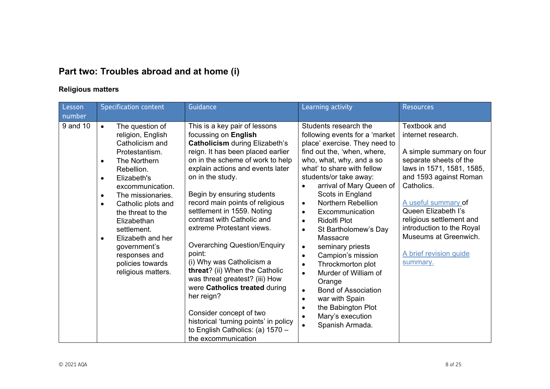# **Part two: Troubles abroad and at home (i)**

### **Religious matters**

| Lesson   | <b>Specification content</b>                                                                                                                                                                                                                                                                                                                                                                                           | Guidance                                                                                                                                                                                                                                                                                                                                                                                                                                                                                                                                                                                                                                                                                                                  | Learning activity                                                                                                                                                                                                                                                                                                                                                                                                                                                                                                                                                                                                                                                                                                                                                   | <b>Resources</b>                                                                                                                                                                                                                                                                                                                    |
|----------|------------------------------------------------------------------------------------------------------------------------------------------------------------------------------------------------------------------------------------------------------------------------------------------------------------------------------------------------------------------------------------------------------------------------|---------------------------------------------------------------------------------------------------------------------------------------------------------------------------------------------------------------------------------------------------------------------------------------------------------------------------------------------------------------------------------------------------------------------------------------------------------------------------------------------------------------------------------------------------------------------------------------------------------------------------------------------------------------------------------------------------------------------------|---------------------------------------------------------------------------------------------------------------------------------------------------------------------------------------------------------------------------------------------------------------------------------------------------------------------------------------------------------------------------------------------------------------------------------------------------------------------------------------------------------------------------------------------------------------------------------------------------------------------------------------------------------------------------------------------------------------------------------------------------------------------|-------------------------------------------------------------------------------------------------------------------------------------------------------------------------------------------------------------------------------------------------------------------------------------------------------------------------------------|
| number   |                                                                                                                                                                                                                                                                                                                                                                                                                        |                                                                                                                                                                                                                                                                                                                                                                                                                                                                                                                                                                                                                                                                                                                           |                                                                                                                                                                                                                                                                                                                                                                                                                                                                                                                                                                                                                                                                                                                                                                     |                                                                                                                                                                                                                                                                                                                                     |
| 9 and 10 | The question of<br>$\bullet$<br>religion, English<br>Catholicism and<br>Protestantism.<br>The Northern<br>$\bullet$<br>Rebellion.<br>Elizabeth's<br>$\bullet$<br>excommunication.<br>The missionaries.<br>$\bullet$<br>Catholic plots and<br>$\bullet$<br>the threat to the<br>Elizabethan<br>settlement.<br>Elizabeth and her<br>$\bullet$<br>government's<br>responses and<br>policies towards<br>religious matters. | This is a key pair of lessons<br>focussing on English<br><b>Catholicism during Elizabeth's</b><br>reign. It has been placed earlier<br>on in the scheme of work to help<br>explain actions and events later<br>on in the study.<br>Begin by ensuring students<br>record main points of religious<br>settlement in 1559. Noting<br>contrast with Catholic and<br>extreme Protestant views.<br><b>Overarching Question/Enquiry</b><br>point:<br>(i) Why was Catholicism a<br>threat? (ii) When the Catholic<br>was threat greatest? (iii) How<br>were Catholics treated during<br>her reign?<br>Consider concept of two<br>historical 'turning points' in policy<br>to English Catholics: (a) 1570 -<br>the excommunication | Students research the<br>following events for a 'market<br>place' exercise. They need to<br>find out the, 'when, where,<br>who, what, why, and a so<br>what' to share with fellow<br>students/or take away:<br>arrival of Mary Queen of<br>Scots in England<br><b>Northern Rebellion</b><br>$\bullet$<br>Excommunication<br>$\bullet$<br><b>Ridolfi Plot</b><br>$\bullet$<br>St Bartholomew's Day<br>$\bullet$<br><b>Massacre</b><br>seminary priests<br>$\bullet$<br>Campion's mission<br>$\bullet$<br>Throckmorton plot<br>$\bullet$<br>Murder of William of<br>$\bullet$<br>Orange<br><b>Bond of Association</b><br>$\bullet$<br>war with Spain<br>$\bullet$<br>the Babington Plot<br>$\bullet$<br>Mary's execution<br>$\bullet$<br>Spanish Armada.<br>$\bullet$ | Textbook and<br>internet research.<br>A simple summary on four<br>separate sheets of the<br>laws in 1571, 1581, 1585,<br>and 1593 against Roman<br>Catholics.<br>A useful summary of<br>Queen Elizabeth I's<br>religious settlement and<br>introduction to the Royal<br>Museums at Greenwich.<br>A brief revision guide<br>summary. |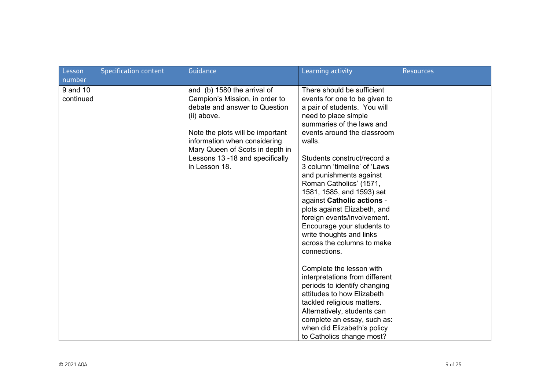| Lesson<br>number      | <b>Specification content</b> | Guidance                                                                                                                                                                                                                                                                 | Learning activity                                                                                                                                                                                                                                                                                                                                                                                                                                                                                                                                | <b>Resources</b> |
|-----------------------|------------------------------|--------------------------------------------------------------------------------------------------------------------------------------------------------------------------------------------------------------------------------------------------------------------------|--------------------------------------------------------------------------------------------------------------------------------------------------------------------------------------------------------------------------------------------------------------------------------------------------------------------------------------------------------------------------------------------------------------------------------------------------------------------------------------------------------------------------------------------------|------------------|
| 9 and 10<br>continued |                              | and (b) 1580 the arrival of<br>Campion's Mission, in order to<br>debate and answer to Question<br>(ii) above.<br>Note the plots will be important<br>information when considering<br>Mary Queen of Scots in depth in<br>Lessons 13 -18 and specifically<br>in Lesson 18. | There should be sufficient<br>events for one to be given to<br>a pair of students. You will<br>need to place simple<br>summaries of the laws and<br>events around the classroom<br>walls.<br>Students construct/record a<br>3 column 'timeline' of 'Laws<br>and punishments against<br>Roman Catholics' (1571,<br>1581, 1585, and 1593) set<br>against Catholic actions -<br>plots against Elizabeth, and<br>foreign events/involvement.<br>Encourage your students to<br>write thoughts and links<br>across the columns to make<br>connections. |                  |
|                       |                              |                                                                                                                                                                                                                                                                          | Complete the lesson with<br>interpretations from different<br>periods to identify changing<br>attitudes to how Elizabeth<br>tackled religious matters.<br>Alternatively, students can<br>complete an essay, such as:<br>when did Elizabeth's policy<br>to Catholics change most?                                                                                                                                                                                                                                                                 |                  |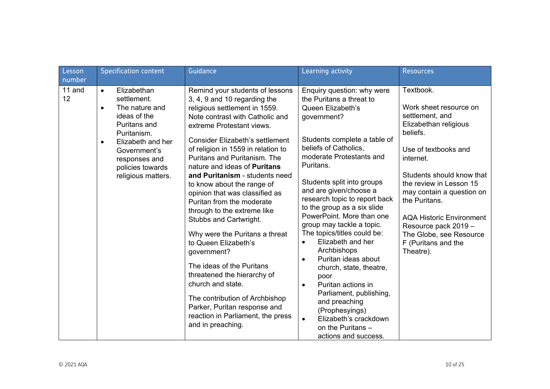| Lesson<br>number | <b>Specification content</b>                                                                                                                                                                                                       | Guidance                                                                                                                                                                                                                                                                                                                                                                                                                                                                                                                                                                                                                                                                                                                                                                                              | Learning activity                                                                                                                                                                                                                                                                                                                                                                                                                                                                                                                                                                                                                                                                                                         | <b>Resources</b>                                                                                                                                                                                                                                                                                                                                                 |
|------------------|------------------------------------------------------------------------------------------------------------------------------------------------------------------------------------------------------------------------------------|-------------------------------------------------------------------------------------------------------------------------------------------------------------------------------------------------------------------------------------------------------------------------------------------------------------------------------------------------------------------------------------------------------------------------------------------------------------------------------------------------------------------------------------------------------------------------------------------------------------------------------------------------------------------------------------------------------------------------------------------------------------------------------------------------------|---------------------------------------------------------------------------------------------------------------------------------------------------------------------------------------------------------------------------------------------------------------------------------------------------------------------------------------------------------------------------------------------------------------------------------------------------------------------------------------------------------------------------------------------------------------------------------------------------------------------------------------------------------------------------------------------------------------------------|------------------------------------------------------------------------------------------------------------------------------------------------------------------------------------------------------------------------------------------------------------------------------------------------------------------------------------------------------------------|
| 11 and<br>12     | Elizabethan<br>$\bullet$<br>settlement.<br>The nature and<br>$\bullet$<br>ideas of the<br>Puritans and<br>Puritanism.<br>Elizabeth and her<br>$\bullet$<br>Government's<br>responses and<br>policies towards<br>religious matters. | Remind your students of lessons<br>3, 4, 9 and 10 regarding the<br>religious settlement in 1559.<br>Note contrast with Catholic and<br>extreme Protestant views.<br><b>Consider Elizabeth's settlement</b><br>of religion in 1559 in relation to<br>Puritans and Puritanism. The<br>nature and ideas of <b>Puritans</b><br>and Puritanism - students need<br>to know about the range of<br>opinion that was classified as<br>Puritan from the moderate<br>through to the extreme like<br>Stubbs and Cartwright.<br>Why were the Puritans a threat<br>to Queen Elizabeth's<br>government?<br>The ideas of the Puritans<br>threatened the hierarchy of<br>church and state.<br>The contribution of Archbishop<br>Parker, Puritan response and<br>reaction in Parliament, the press<br>and in preaching. | Enquiry question: why were<br>the Puritans a threat to<br>Queen Elizabeth's<br>government?<br>Students complete a table of<br>beliefs of Catholics,<br>moderate Protestants and<br>Puritans.<br>Students split into groups<br>and are given/choose a<br>research topic to report back<br>to the group as a six slide<br>PowerPoint. More than one<br>group may tackle a topic.<br>The topics/titles could be:<br>Elizabeth and her<br>$\bullet$<br>Archbishops<br>Puritan ideas about<br>$\bullet$<br>church, state, theatre,<br>poor<br>Puritan actions in<br>$\bullet$<br>Parliament, publishing,<br>and preaching<br>(Prophesyings)<br>Elizabeth's crackdown<br>$\bullet$<br>on the Puritans -<br>actions and success. | Textbook.<br>Work sheet resource on<br>settlement, and<br>Elizabethan religious<br>beliefs.<br>Use of textbooks and<br>internet.<br>Students should know that<br>the review in Lesson 15<br>may contain a question on<br>the Puritans.<br><b>AQA Historic Environment</b><br>Resource pack 2019 -<br>The Globe, see Resource<br>F (Puritans and the<br>Theatre). |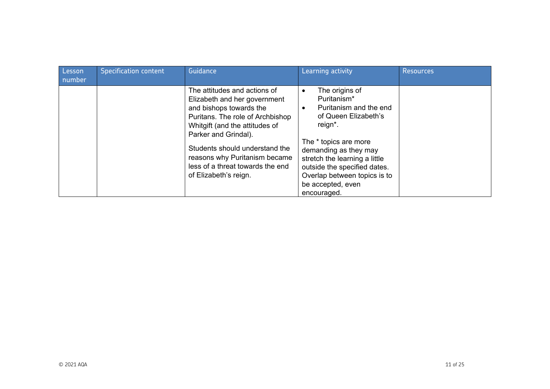| Lesson<br>number | <b>Specification content</b> | Guidance                                                                                                                                                                                                                                                                                                              | Learning activity                                                                                                                                                                                                                                                                                           | <b>Resources</b> |
|------------------|------------------------------|-----------------------------------------------------------------------------------------------------------------------------------------------------------------------------------------------------------------------------------------------------------------------------------------------------------------------|-------------------------------------------------------------------------------------------------------------------------------------------------------------------------------------------------------------------------------------------------------------------------------------------------------------|------------------|
|                  |                              | The attitudes and actions of<br>Elizabeth and her government<br>and bishops towards the<br>Puritans. The role of Archbishop<br>Whitgift (and the attitudes of<br>Parker and Grindal).<br>Students should understand the<br>reasons why Puritanism became<br>less of a threat towards the end<br>of Elizabeth's reign. | The origins of<br>$\bullet$<br>Puritanism*<br>Puritanism and the end<br>$\bullet$<br>of Queen Elizabeth's<br>reign*.<br>The * topics are more<br>demanding as they may<br>stretch the learning a little<br>outside the specified dates.<br>Overlap between topics is to<br>be accepted, even<br>encouraged. |                  |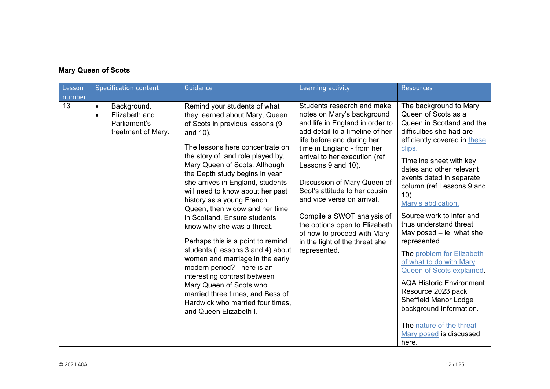### **Mary Queen of Scots**

| Lesson<br>number | <b>Specification content</b>                                                                 | Guidance                                                                                                                                                                                                                                                                                                                                                                                                                                                                                                                                                                                                                                                                                                                                                             | Learning activity                                                                                                                                                                                                                                                                                                                                                                                                                                                                               | <b>Resources</b>                                                                                                                                                                                                                                                                                                                                                                                                                                                                                                                                                                                                                                                               |
|------------------|----------------------------------------------------------------------------------------------|----------------------------------------------------------------------------------------------------------------------------------------------------------------------------------------------------------------------------------------------------------------------------------------------------------------------------------------------------------------------------------------------------------------------------------------------------------------------------------------------------------------------------------------------------------------------------------------------------------------------------------------------------------------------------------------------------------------------------------------------------------------------|-------------------------------------------------------------------------------------------------------------------------------------------------------------------------------------------------------------------------------------------------------------------------------------------------------------------------------------------------------------------------------------------------------------------------------------------------------------------------------------------------|--------------------------------------------------------------------------------------------------------------------------------------------------------------------------------------------------------------------------------------------------------------------------------------------------------------------------------------------------------------------------------------------------------------------------------------------------------------------------------------------------------------------------------------------------------------------------------------------------------------------------------------------------------------------------------|
| 13               | Background.<br>$\bullet$<br>Elizabeth and<br>$\bullet$<br>Parliament's<br>treatment of Mary. | Remind your students of what<br>they learned about Mary, Queen<br>of Scots in previous lessons (9<br>and 10).<br>The lessons here concentrate on<br>the story of, and role played by,<br>Mary Queen of Scots. Although<br>the Depth study begins in year<br>she arrives in England, students<br>will need to know about her past<br>history as a young French<br>Queen, then widow and her time<br>in Scotland. Ensure students<br>know why she was a threat.<br>Perhaps this is a point to remind<br>students (Lessons 3 and 4) about<br>women and marriage in the early<br>modern period? There is an<br>interesting contrast between<br>Mary Queen of Scots who<br>married three times, and Bess of<br>Hardwick who married four times,<br>and Queen Elizabeth I. | Students research and make<br>notes on Mary's background<br>and life in England in order to<br>add detail to a timeline of her<br>life before and during her<br>time in England - from her<br>arrival to her execution (ref<br>Lessons 9 and 10).<br>Discussion of Mary Queen of<br>Scot's attitude to her cousin<br>and vice versa on arrival.<br>Compile a SWOT analysis of<br>the options open to Elizabeth<br>of how to proceed with Mary<br>in the light of the threat she<br>represented. | The background to Mary<br>Queen of Scots as a<br>Queen in Scotland and the<br>difficulties she had are<br>efficiently covered in these<br>clips.<br>Timeline sheet with key<br>dates and other relevant<br>events dated in separate<br>column (ref Lessons 9 and<br>$10$ ).<br>Mary's abdication.<br>Source work to infer and<br>thus understand threat<br>May posed $-$ ie, what she<br>represented.<br>The problem for Elizabeth<br>of what to do with Mary<br>Queen of Scots explained.<br><b>AQA Historic Environment</b><br>Resource 2023 pack<br><b>Sheffield Manor Lodge</b><br>background Information.<br>The nature of the threat<br>Mary posed is discussed<br>here. |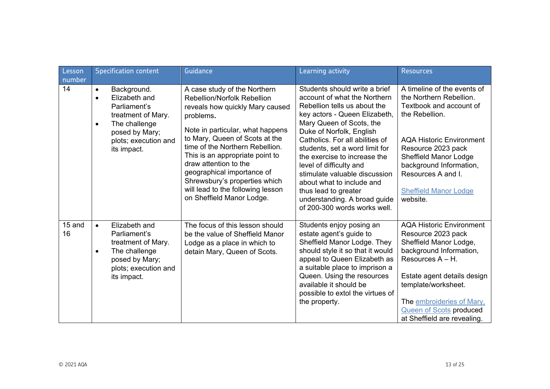| Lesson<br>number | <b>Specification content</b>                                                                                                                                                        | Guidance                                                                                                                                                                                                                                                                                                                                                                                                                 | Learning activity                                                                                                                                                                                                                                                                                                                                                                                                                                                            | <b>Resources</b>                                                                                                                                                                                                                                                                          |
|------------------|-------------------------------------------------------------------------------------------------------------------------------------------------------------------------------------|--------------------------------------------------------------------------------------------------------------------------------------------------------------------------------------------------------------------------------------------------------------------------------------------------------------------------------------------------------------------------------------------------------------------------|------------------------------------------------------------------------------------------------------------------------------------------------------------------------------------------------------------------------------------------------------------------------------------------------------------------------------------------------------------------------------------------------------------------------------------------------------------------------------|-------------------------------------------------------------------------------------------------------------------------------------------------------------------------------------------------------------------------------------------------------------------------------------------|
| 14               | Background.<br>$\bullet$<br>Elizabeth and<br>$\bullet$<br>Parliament's<br>treatment of Mary.<br>The challenge<br>$\bullet$<br>posed by Mary;<br>plots; execution and<br>its impact. | A case study of the Northern<br><b>Rebellion/Norfolk Rebellion</b><br>reveals how quickly Mary caused<br>problems.<br>Note in particular, what happens<br>to Mary, Queen of Scots at the<br>time of the Northern Rebellion.<br>This is an appropriate point to<br>draw attention to the<br>geographical importance of<br>Shrewsbury's properties which<br>will lead to the following lesson<br>on Sheffield Manor Lodge. | Students should write a brief<br>account of what the Northern<br>Rebellion tells us about the<br>key actors - Queen Elizabeth,<br>Mary Queen of Scots, the<br>Duke of Norfolk, English<br>Catholics. For all abilities of<br>students, set a word limit for<br>the exercise to increase the<br>level of difficulty and<br>stimulate valuable discussion<br>about what to include and<br>thus lead to greater<br>understanding. A broad guide<br>of 200-300 words works well. | A timeline of the events of<br>the Northern Rebellion.<br>Textbook and account of<br>the Rebellion.<br><b>AQA Historic Environment</b><br>Resource 2023 pack<br><b>Sheffield Manor Lodge</b><br>background Information,<br>Resources A and I.<br><b>Sheffield Manor Lodge</b><br>website. |
| 15 and<br>16     | Elizabeth and<br>$\bullet$<br>Parliament's<br>treatment of Mary.<br>The challenge<br>posed by Mary;<br>plots; execution and<br>its impact.                                          | The focus of this lesson should<br>be the value of Sheffield Manor<br>Lodge as a place in which to<br>detain Mary, Queen of Scots.                                                                                                                                                                                                                                                                                       | Students enjoy posing an<br>estate agent's guide to<br>Sheffield Manor Lodge. They<br>should style it so that it would<br>appeal to Queen Elizabeth as<br>a suitable place to imprison a<br>Queen. Using the resources<br>available it should be<br>possible to extol the virtues of<br>the property.                                                                                                                                                                        | <b>AQA Historic Environment</b><br>Resource 2023 pack<br>Sheffield Manor Lodge,<br>background Information,<br>Resources $A - H$ .<br>Estate agent details design<br>template/worksheet.<br>The embroideries of Mary.<br><b>Queen of Scots produced</b><br>at Sheffield are revealing.     |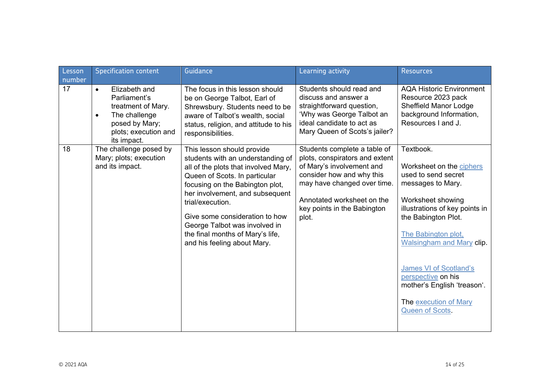| Lesson<br>number | <b>Specification content</b>                                                                                                                            | Guidance                                                                                                                                                                                                                                                                                                                                                                 | Learning activity                                                                                                                                                                                                             | <b>Resources</b>                                                                                                                                                                                                                                                                                                                               |
|------------------|---------------------------------------------------------------------------------------------------------------------------------------------------------|--------------------------------------------------------------------------------------------------------------------------------------------------------------------------------------------------------------------------------------------------------------------------------------------------------------------------------------------------------------------------|-------------------------------------------------------------------------------------------------------------------------------------------------------------------------------------------------------------------------------|------------------------------------------------------------------------------------------------------------------------------------------------------------------------------------------------------------------------------------------------------------------------------------------------------------------------------------------------|
| 17               | Elizabeth and<br>$\bullet$<br>Parliament's<br>treatment of Mary.<br>The challenge<br>$\bullet$<br>posed by Mary;<br>plots; execution and<br>its impact. | The focus in this lesson should<br>be on George Talbot, Earl of<br>Shrewsbury. Students need to be<br>aware of Talbot's wealth, social<br>status, religion, and attitude to his<br>responsibilities.                                                                                                                                                                     | Students should read and<br>discuss and answer a<br>straightforward question,<br>'Why was George Talbot an<br>ideal candidate to act as<br>Mary Queen of Scots's jailer?                                                      | <b>AQA Historic Environment</b><br>Resource 2023 pack<br><b>Sheffield Manor Lodge</b><br>background Information,<br>Resources I and J.                                                                                                                                                                                                         |
| 18               | The challenge posed by<br>Mary; plots; execution<br>and its impact.                                                                                     | This lesson should provide<br>students with an understanding of<br>all of the plots that involved Mary,<br>Queen of Scots. In particular<br>focusing on the Babington plot,<br>her involvement, and subsequent<br>trial/execution.<br>Give some consideration to how<br>George Talbot was involved in<br>the final months of Mary's life,<br>and his feeling about Mary. | Students complete a table of<br>plots, conspirators and extent<br>of Mary's involvement and<br>consider how and why this<br>may have changed over time.<br>Annotated worksheet on the<br>key points in the Babington<br>plot. | Textbook.<br>Worksheet on the ciphers<br>used to send secret<br>messages to Mary.<br>Worksheet showing<br>illustrations of key points in<br>the Babington Plot.<br>The Babington plot,<br>Walsingham and Mary clip.<br>James VI of Scotland's<br>perspective on his<br>mother's English 'treason'.<br>The execution of Mary<br>Queen of Scots. |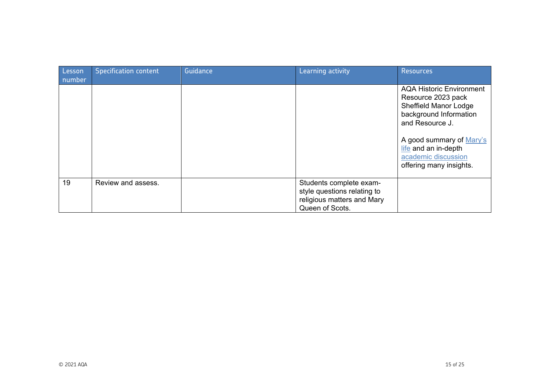| Lesson<br>number | <b>Specification content</b> | Guidance | Learning activity                                                                                       | <b>Resources</b>                                                                                                                                                                                                                         |
|------------------|------------------------------|----------|---------------------------------------------------------------------------------------------------------|------------------------------------------------------------------------------------------------------------------------------------------------------------------------------------------------------------------------------------------|
|                  |                              |          |                                                                                                         | <b>AQA Historic Environment</b><br>Resource 2023 pack<br><b>Sheffield Manor Lodge</b><br>background Information<br>and Resource J.<br>A good summary of Mary's<br>life and an in-depth<br>academic discussion<br>offering many insights. |
| 19               | Review and assess.           |          | Students complete exam-<br>style questions relating to<br>religious matters and Mary<br>Queen of Scots. |                                                                                                                                                                                                                                          |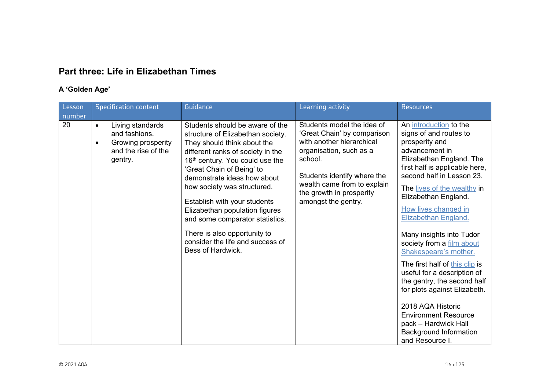## **Part three: Life in Elizabethan Times**

### **A 'Golden Age'**

| Lesson<br>number | <b>Specification content</b>                                                                                        | <b>Guidance</b>                                                                                                                                                                                                                                                                                                                                                                                                                                                      | Learning activity                                                                                                                                                                                                                             | <b>Resources</b>                                                                                                                                                                                                                                                                                                                                                                                                                                                                                                                                                                                                                         |
|------------------|---------------------------------------------------------------------------------------------------------------------|----------------------------------------------------------------------------------------------------------------------------------------------------------------------------------------------------------------------------------------------------------------------------------------------------------------------------------------------------------------------------------------------------------------------------------------------------------------------|-----------------------------------------------------------------------------------------------------------------------------------------------------------------------------------------------------------------------------------------------|------------------------------------------------------------------------------------------------------------------------------------------------------------------------------------------------------------------------------------------------------------------------------------------------------------------------------------------------------------------------------------------------------------------------------------------------------------------------------------------------------------------------------------------------------------------------------------------------------------------------------------------|
| 20               | Living standards<br>$\bullet$<br>and fashions.<br>Growing prosperity<br>$\bullet$<br>and the rise of the<br>gentry. | Students should be aware of the<br>structure of Elizabethan society.<br>They should think about the<br>different ranks of society in the<br>16th century. You could use the<br>'Great Chain of Being' to<br>demonstrate ideas how about<br>how society was structured.<br>Establish with your students<br>Elizabethan population figures<br>and some comparator statistics.<br>There is also opportunity to<br>consider the life and success of<br>Bess of Hardwick. | Students model the idea of<br>'Great Chain' by comparison<br>with another hierarchical<br>organisation, such as a<br>school.<br>Students identify where the<br>wealth came from to explain<br>the growth in prosperity<br>amongst the gentry. | An introduction to the<br>signs of and routes to<br>prosperity and<br>advancement in<br>Elizabethan England. The<br>first half is applicable here,<br>second half in Lesson 23.<br>The lives of the wealthy in<br>Elizabethan England.<br>How lives changed in<br>Elizabethan England.<br>Many insights into Tudor<br>society from a film about<br>Shakespeare's mother.<br>The first half of this clip is<br>useful for a description of<br>the gentry, the second half<br>for plots against Elizabeth.<br>2018 AQA Historic<br><b>Environment Resource</b><br>pack - Hardwick Hall<br><b>Background Information</b><br>and Resource I. |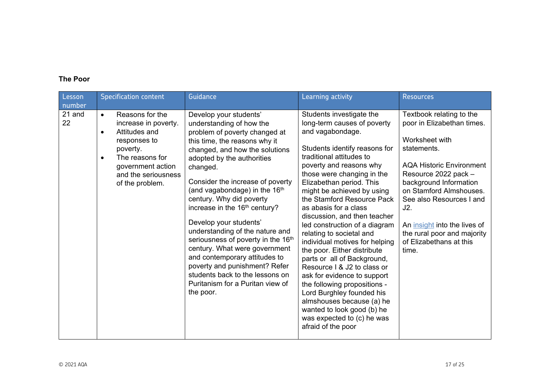### **The Poor**

| Lesson<br>number | <b>Specification content</b>                                                                                                                                                                                  | Guidance                                                                                                                                                                                                                                                                                                                                                                                                                                                                                                                                                                                                                                             | Learning activity                                                                                                                                                                                                                                                                                                                                                                                                                                                                                                                                                                                                                                                                                                                                         | <b>Resources</b>                                                                                                                                                                                                                                                                                                                              |
|------------------|---------------------------------------------------------------------------------------------------------------------------------------------------------------------------------------------------------------|------------------------------------------------------------------------------------------------------------------------------------------------------------------------------------------------------------------------------------------------------------------------------------------------------------------------------------------------------------------------------------------------------------------------------------------------------------------------------------------------------------------------------------------------------------------------------------------------------------------------------------------------------|-----------------------------------------------------------------------------------------------------------------------------------------------------------------------------------------------------------------------------------------------------------------------------------------------------------------------------------------------------------------------------------------------------------------------------------------------------------------------------------------------------------------------------------------------------------------------------------------------------------------------------------------------------------------------------------------------------------------------------------------------------------|-----------------------------------------------------------------------------------------------------------------------------------------------------------------------------------------------------------------------------------------------------------------------------------------------------------------------------------------------|
| 21 and<br>22     | Reasons for the<br>$\bullet$<br>increase in poverty.<br>Attitudes and<br>$\bullet$<br>responses to<br>poverty.<br>The reasons for<br>$\bullet$<br>government action<br>and the seriousness<br>of the problem. | Develop your students'<br>understanding of how the<br>problem of poverty changed at<br>this time, the reasons why it<br>changed, and how the solutions<br>adopted by the authorities<br>changed.<br>Consider the increase of poverty<br>(and vagabondage) in the 16 <sup>th</sup><br>century. Why did poverty<br>increase in the 16 <sup>th</sup> century?<br>Develop your students'<br>understanding of the nature and<br>seriousness of poverty in the 16th<br>century. What were government<br>and contemporary attitudes to<br>poverty and punishment? Refer<br>students back to the lessons on<br>Puritanism for a Puritan view of<br>the poor. | Students investigate the<br>long-term causes of poverty<br>and vagabondage.<br>Students identify reasons for<br>traditional attitudes to<br>poverty and reasons why<br>those were changing in the<br>Elizabethan period. This<br>might be achieved by using<br>the Stamford Resource Pack<br>as abasis for a class<br>discussion, and then teacher<br>led construction of a diagram<br>relating to societal and<br>individual motives for helping<br>the poor. Either distribute<br>parts or all of Background,<br>Resource I & J2 to class or<br>ask for evidence to support<br>the following propositions -<br>Lord Burghley founded his<br>almshouses because (a) he<br>wanted to look good (b) he<br>was expected to (c) he was<br>afraid of the poor | Textbook relating to the<br>poor in Elizabethan times.<br>Worksheet with<br>statements.<br><b>AQA Historic Environment</b><br>Resource 2022 pack -<br>background Information<br>on Stamford Almshouses.<br>See also Resources I and<br>J2.<br>An insight into the lives of<br>the rural poor and majority<br>of Elizabethans at this<br>time. |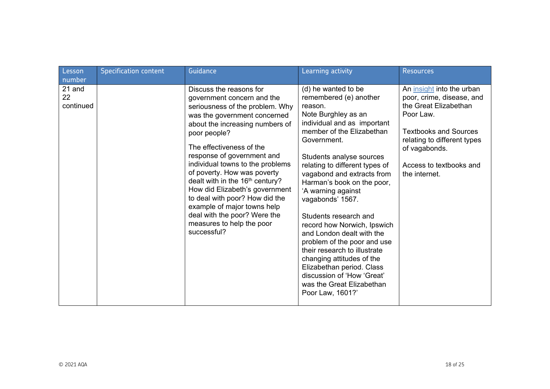| Lesson<br>number          | Specification content | Guidance                                                                                                                                                                                                                                                                                                                                                                                                                                                                                                                               | Learning activity                                                                                                                                                                                                                                                                                                                                                                                                                                                                                                                                                                                                           | <b>Resources</b>                                                                                                                                                                                                         |
|---------------------------|-----------------------|----------------------------------------------------------------------------------------------------------------------------------------------------------------------------------------------------------------------------------------------------------------------------------------------------------------------------------------------------------------------------------------------------------------------------------------------------------------------------------------------------------------------------------------|-----------------------------------------------------------------------------------------------------------------------------------------------------------------------------------------------------------------------------------------------------------------------------------------------------------------------------------------------------------------------------------------------------------------------------------------------------------------------------------------------------------------------------------------------------------------------------------------------------------------------------|--------------------------------------------------------------------------------------------------------------------------------------------------------------------------------------------------------------------------|
| 21 and<br>22<br>continued |                       | Discuss the reasons for<br>government concern and the<br>seriousness of the problem. Why<br>was the government concerned<br>about the increasing numbers of<br>poor people?<br>The effectiveness of the<br>response of government and<br>individual towns to the problems<br>of poverty. How was poverty<br>dealt with in the 16 <sup>th</sup> century?<br>How did Elizabeth's government<br>to deal with poor? How did the<br>example of major towns help<br>deal with the poor? Were the<br>measures to help the poor<br>successful? | (d) he wanted to be<br>remembered (e) another<br>reason.<br>Note Burghley as an<br>individual and as important<br>member of the Elizabethan<br>Government.<br>Students analyse sources<br>relating to different types of<br>vagabond and extracts from<br>Harman's book on the poor,<br>'A warning against<br>vagabonds' 1567.<br>Students research and<br>record how Norwich, Ipswich<br>and London dealt with the<br>problem of the poor and use<br>their research to illustrate<br>changing attitudes of the<br>Elizabethan period. Class<br>discussion of 'How 'Great'<br>was the Great Elizabethan<br>Poor Law, 1601?' | An insight into the urban<br>poor, crime, disease, and<br>the Great Elizabethan<br>Poor Law.<br><b>Textbooks and Sources</b><br>relating to different types<br>of vagabonds.<br>Access to textbooks and<br>the internet. |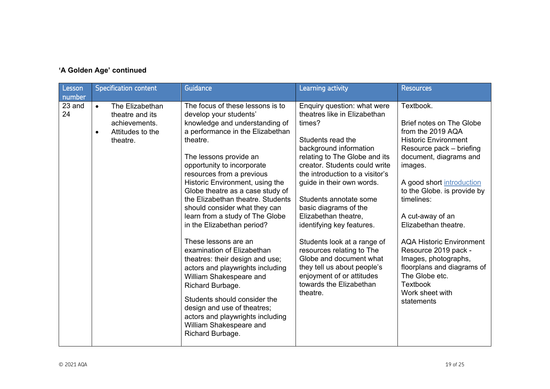## **'A Golden Age' continued**

| Lesson<br>number | <b>Specification content</b>                                                                     | Guidance                                                                                                                                                                                                                                                                                                                                                                                                                                                                                                                                                                                                                                                                                                                                                                      | Learning activity                                                                                                                                                                                                                                                                                                                                                                                                                                                                                                                                        | <b>Resources</b>                                                                                                                                                                                                                                                                                                                                                                                                                                                               |
|------------------|--------------------------------------------------------------------------------------------------|-------------------------------------------------------------------------------------------------------------------------------------------------------------------------------------------------------------------------------------------------------------------------------------------------------------------------------------------------------------------------------------------------------------------------------------------------------------------------------------------------------------------------------------------------------------------------------------------------------------------------------------------------------------------------------------------------------------------------------------------------------------------------------|----------------------------------------------------------------------------------------------------------------------------------------------------------------------------------------------------------------------------------------------------------------------------------------------------------------------------------------------------------------------------------------------------------------------------------------------------------------------------------------------------------------------------------------------------------|--------------------------------------------------------------------------------------------------------------------------------------------------------------------------------------------------------------------------------------------------------------------------------------------------------------------------------------------------------------------------------------------------------------------------------------------------------------------------------|
| 23 and<br>24     | The Elizabethan<br>$\bullet$<br>theatre and its<br>achievements.<br>Attitudes to the<br>theatre. | The focus of these lessons is to<br>develop your students'<br>knowledge and understanding of<br>a performance in the Elizabethan<br>theatre.<br>The lessons provide an<br>opportunity to incorporate<br>resources from a previous<br>Historic Environment, using the<br>Globe theatre as a case study of<br>the Elizabethan theatre. Students<br>should consider what they can<br>learn from a study of The Globe<br>in the Elizabethan period?<br>These lessons are an<br>examination of Elizabethan<br>theatres: their design and use;<br>actors and playwrights including<br>William Shakespeare and<br>Richard Burbage.<br>Students should consider the<br>design and use of theatres;<br>actors and playwrights including<br>William Shakespeare and<br>Richard Burbage. | Enquiry question: what were<br>theatres like in Elizabethan<br>times?<br>Students read the<br>background information<br>relating to The Globe and its<br>creator. Students could write<br>the introduction to a visitor's<br>guide in their own words.<br>Students annotate some<br>basic diagrams of the<br>Elizabethan theatre,<br>identifying key features.<br>Students look at a range of<br>resources relating to The<br>Globe and document what<br>they tell us about people's<br>enjoyment of or attitudes<br>towards the Elizabethan<br>theatre. | Textbook.<br><b>Brief notes on The Globe</b><br>from the 2019 AQA<br><b>Historic Environment</b><br>Resource pack – briefing<br>document, diagrams and<br>images.<br>A good short introduction<br>to the Globe. is provide by<br>timelines:<br>A cut-away of an<br>Elizabethan theatre.<br><b>AQA Historic Environment</b><br>Resource 2019 pack -<br>Images, photographs,<br>floorplans and diagrams of<br>The Globe etc.<br><b>Textbook</b><br>Work sheet with<br>statements |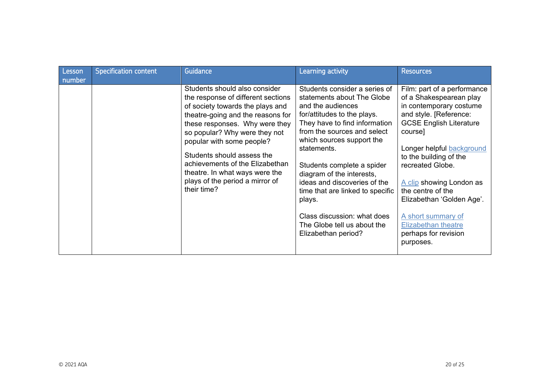| Lesson<br>number | <b>Specification content</b> | Guidance                                                                                                                                                                                                                                                                                                                                                                                          | Learning activity                                                                                                                                                                                                                                                                                                                                                                                                                                         | <b>Resources</b>                                                                                                                                                                                                                                                                                                                                                                                           |
|------------------|------------------------------|---------------------------------------------------------------------------------------------------------------------------------------------------------------------------------------------------------------------------------------------------------------------------------------------------------------------------------------------------------------------------------------------------|-----------------------------------------------------------------------------------------------------------------------------------------------------------------------------------------------------------------------------------------------------------------------------------------------------------------------------------------------------------------------------------------------------------------------------------------------------------|------------------------------------------------------------------------------------------------------------------------------------------------------------------------------------------------------------------------------------------------------------------------------------------------------------------------------------------------------------------------------------------------------------|
|                  |                              | Students should also consider<br>the response of different sections<br>of society towards the plays and<br>theatre-going and the reasons for<br>these responses. Why were they<br>so popular? Why were they not<br>popular with some people?<br>Students should assess the<br>achievements of the Elizabethan<br>theatre. In what ways were the<br>plays of the period a mirror of<br>their time? | Students consider a series of<br>statements about The Globe<br>and the audiences<br>for/attitudes to the plays.<br>They have to find information<br>from the sources and select<br>which sources support the<br>statements.<br>Students complete a spider<br>diagram of the interests,<br>ideas and discoveries of the<br>time that are linked to specific<br>plays.<br>Class discussion: what does<br>The Globe tell us about the<br>Elizabethan period? | Film: part of a performance<br>of a Shakespearean play<br>in contemporary costume<br>and style. [Reference:<br><b>GCSE English Literature</b><br>coursel<br>Longer helpful background<br>to the building of the<br>recreated Globe.<br>A clip showing London as<br>the centre of the<br>Elizabethan 'Golden Age'.<br>A short summary of<br><b>Elizabethan theatre</b><br>perhaps for revision<br>purposes. |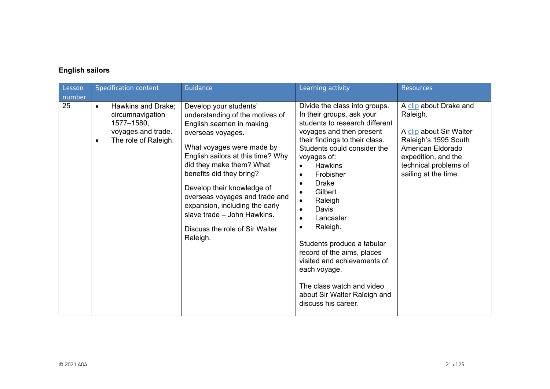## **English sailors**

| Lesson<br>number | <b>Specification content</b>                                                                                                 | Guidance                                                                                                                                                                                                                                                                                                                                                                                                            | Learning activity                                                                                                                                                                                                                                                                                                                                                                                                                                                                                                                                                                                         | <b>Resources</b>                                                                                                                                                                   |
|------------------|------------------------------------------------------------------------------------------------------------------------------|---------------------------------------------------------------------------------------------------------------------------------------------------------------------------------------------------------------------------------------------------------------------------------------------------------------------------------------------------------------------------------------------------------------------|-----------------------------------------------------------------------------------------------------------------------------------------------------------------------------------------------------------------------------------------------------------------------------------------------------------------------------------------------------------------------------------------------------------------------------------------------------------------------------------------------------------------------------------------------------------------------------------------------------------|------------------------------------------------------------------------------------------------------------------------------------------------------------------------------------|
| 25               | Hawkins and Drake;<br>$\bullet$<br>circumnavigation<br>1577-1580,<br>voyages and trade.<br>The role of Raleigh.<br>$\bullet$ | Develop your students'<br>understanding of the motives of<br>English seamen in making<br>overseas voyages.<br>What voyages were made by<br>English sailors at this time? Why<br>did they make them? What<br>benefits did they bring?<br>Develop their knowledge of<br>overseas voyages and trade and<br>expansion, including the early<br>slave trade - John Hawkins.<br>Discuss the role of Sir Walter<br>Raleigh. | Divide the class into groups.<br>In their groups, ask your<br>students to research different<br>voyages and then present<br>their findings to their class.<br>Students could consider the<br>voyages of:<br><b>Hawkins</b><br>Frobisher<br>$\bullet$<br><b>Drake</b><br>$\bullet$<br>Gilbert<br>$\bullet$<br>Raleigh<br>$\bullet$<br>Davis<br>$\bullet$<br>Lancaster<br>$\bullet$<br>Raleigh.<br>$\bullet$<br>Students produce a tabular<br>record of the aims, places<br>visited and achievements of<br>each voyage.<br>The class watch and video<br>about Sir Walter Raleigh and<br>discuss his career. | A clip about Drake and<br>Raleigh.<br>A clip about Sir Walter<br>Raleigh's 1595 South<br>American Eldorado<br>expedition, and the<br>technical problems of<br>sailing at the time. |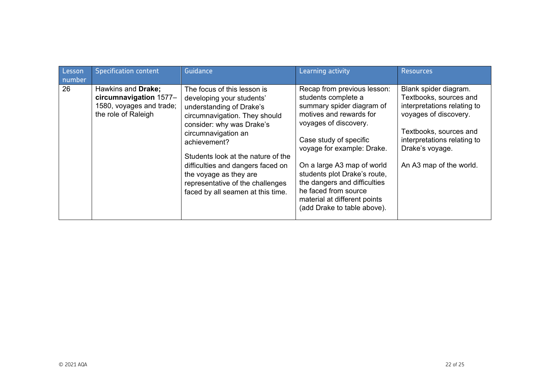| Lesson | <b>Specification content</b>                                                                    | Guidance                                                                                                                                                                                                                                                                                                                                                                | Learning activity                                                                                                                                                                                                                                                                                                                                                                | <b>Resources</b>                                                                                                                                                                                               |
|--------|-------------------------------------------------------------------------------------------------|-------------------------------------------------------------------------------------------------------------------------------------------------------------------------------------------------------------------------------------------------------------------------------------------------------------------------------------------------------------------------|----------------------------------------------------------------------------------------------------------------------------------------------------------------------------------------------------------------------------------------------------------------------------------------------------------------------------------------------------------------------------------|----------------------------------------------------------------------------------------------------------------------------------------------------------------------------------------------------------------|
| number |                                                                                                 |                                                                                                                                                                                                                                                                                                                                                                         |                                                                                                                                                                                                                                                                                                                                                                                  |                                                                                                                                                                                                                |
| 26     | Hawkins and Drake;<br>circumnavigation 1577-<br>1580, voyages and trade;<br>the role of Raleigh | The focus of this lesson is<br>developing your students'<br>understanding of Drake's<br>circumnavigation. They should<br>consider: why was Drake's<br>circumnavigation an<br>achievement?<br>Students look at the nature of the<br>difficulties and dangers faced on<br>the voyage as they are<br>representative of the challenges<br>faced by all seamen at this time. | Recap from previous lesson:<br>students complete a<br>summary spider diagram of<br>motives and rewards for<br>voyages of discovery.<br>Case study of specific<br>voyage for example: Drake.<br>On a large A3 map of world<br>students plot Drake's route,<br>the dangers and difficulties<br>he faced from source<br>material at different points<br>(add Drake to table above). | Blank spider diagram.<br>Textbooks, sources and<br>interpretations relating to<br>voyages of discovery.<br>Textbooks, sources and<br>interpretations relating to<br>Drake's voyage.<br>An A3 map of the world. |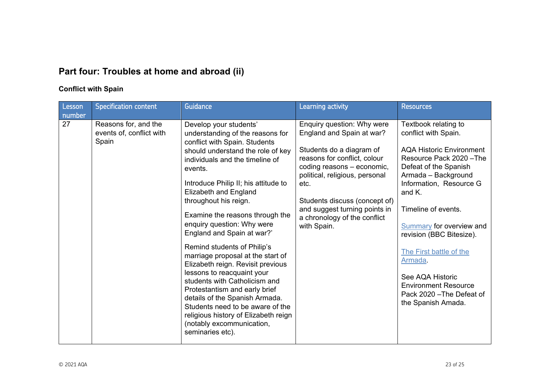# **Part four: Troubles at home and abroad (ii)**

### **Conflict with Spain**

| Lesson<br>number | <b>Specification content</b>                              | Guidance                                                                                                                                                                                                                                                                                                                                                                                                                                                                                                                                                                                                                                                                                                                                               | Learning activity                                                                                                                                                                                                                                                                                            | <b>Resources</b>                                                                                                                                                                                                                                                                                                                                                                                                                   |
|------------------|-----------------------------------------------------------|--------------------------------------------------------------------------------------------------------------------------------------------------------------------------------------------------------------------------------------------------------------------------------------------------------------------------------------------------------------------------------------------------------------------------------------------------------------------------------------------------------------------------------------------------------------------------------------------------------------------------------------------------------------------------------------------------------------------------------------------------------|--------------------------------------------------------------------------------------------------------------------------------------------------------------------------------------------------------------------------------------------------------------------------------------------------------------|------------------------------------------------------------------------------------------------------------------------------------------------------------------------------------------------------------------------------------------------------------------------------------------------------------------------------------------------------------------------------------------------------------------------------------|
| 27               | Reasons for, and the<br>events of, conflict with<br>Spain | Develop your students'<br>understanding of the reasons for<br>conflict with Spain. Students<br>should understand the role of key<br>individuals and the timeline of<br>events.<br>Introduce Philip II; his attitude to<br><b>Elizabeth and England</b><br>throughout his reign.<br>Examine the reasons through the<br>enquiry question: Why were<br>England and Spain at war?'<br>Remind students of Philip's<br>marriage proposal at the start of<br>Elizabeth reign. Revisit previous<br>lessons to reacquaint your<br>students with Catholicism and<br>Protestantism and early brief<br>details of the Spanish Armada.<br>Students need to be aware of the<br>religious history of Elizabeth reign<br>(notably excommunication,<br>seminaries etc). | Enquiry question: Why were<br>England and Spain at war?<br>Students do a diagram of<br>reasons for conflict, colour<br>coding reasons - economic,<br>political, religious, personal<br>etc.<br>Students discuss (concept of)<br>and suggest turning points in<br>a chronology of the conflict<br>with Spain. | Textbook relating to<br>conflict with Spain.<br><b>AQA Historic Environment</b><br>Resource Pack 2020 - The<br>Defeat of the Spanish<br>Armada - Background<br>Information, Resource G<br>and K.<br>Timeline of events.<br><b>Summary for overview and</b><br>revision (BBC Bitesize).<br>The First battle of the<br>Armada.<br>See AQA Historic<br><b>Environment Resource</b><br>Pack 2020 - The Defeat of<br>the Spanish Amada. |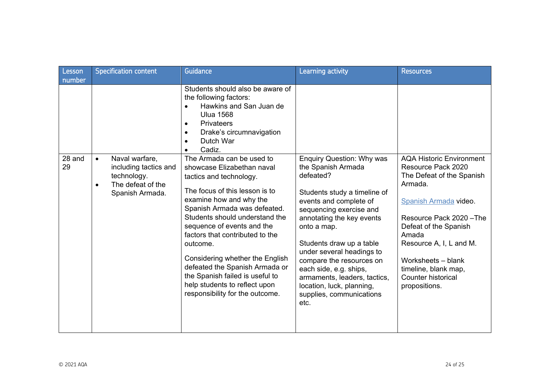| Lesson       | <b>Specification content</b>                                                                                             | Guidance                                                                                                                                                                                                                                                                                                                                                                                                                                                                   | Learning activity                                                                                                                                                                                                                                                                                                                                                                                                    | <b>Resources</b>                                                                                                                                                                                                                                                                                            |
|--------------|--------------------------------------------------------------------------------------------------------------------------|----------------------------------------------------------------------------------------------------------------------------------------------------------------------------------------------------------------------------------------------------------------------------------------------------------------------------------------------------------------------------------------------------------------------------------------------------------------------------|----------------------------------------------------------------------------------------------------------------------------------------------------------------------------------------------------------------------------------------------------------------------------------------------------------------------------------------------------------------------------------------------------------------------|-------------------------------------------------------------------------------------------------------------------------------------------------------------------------------------------------------------------------------------------------------------------------------------------------------------|
| number       |                                                                                                                          | Students should also be aware of<br>the following factors:<br>Hawkins and San Juan de<br>$\bullet$<br><b>Ulua 1568</b><br><b>Privateers</b><br>٠<br>Drake's circumnavigation<br>٠<br>Dutch War<br>Cadiz.                                                                                                                                                                                                                                                                   |                                                                                                                                                                                                                                                                                                                                                                                                                      |                                                                                                                                                                                                                                                                                                             |
| 28 and<br>29 | Naval warfare,<br>$\bullet$<br>including tactics and<br>technology.<br>The defeat of the<br>$\bullet$<br>Spanish Armada. | The Armada can be used to<br>showcase Elizabethan naval<br>tactics and technology.<br>The focus of this lesson is to<br>examine how and why the<br>Spanish Armada was defeated.<br>Students should understand the<br>sequence of events and the<br>factors that contributed to the<br>outcome.<br>Considering whether the English<br>defeated the Spanish Armada or<br>the Spanish failed is useful to<br>help students to reflect upon<br>responsibility for the outcome. | <b>Enquiry Question: Why was</b><br>the Spanish Armada<br>defeated?<br>Students study a timeline of<br>events and complete of<br>sequencing exercise and<br>annotating the key events<br>onto a map.<br>Students draw up a table<br>under several headings to<br>compare the resources on<br>each side, e.g. ships,<br>armaments, leaders, tactics,<br>location, luck, planning,<br>supplies, communications<br>etc. | <b>AQA Historic Environment</b><br>Resource Pack 2020<br>The Defeat of the Spanish<br>Armada.<br>Spanish Armada video.<br>Resource Pack 2020 - The<br>Defeat of the Spanish<br>Amada<br>Resource A, I, L and M.<br>Worksheets - blank<br>timeline, blank map,<br><b>Counter historical</b><br>propositions. |